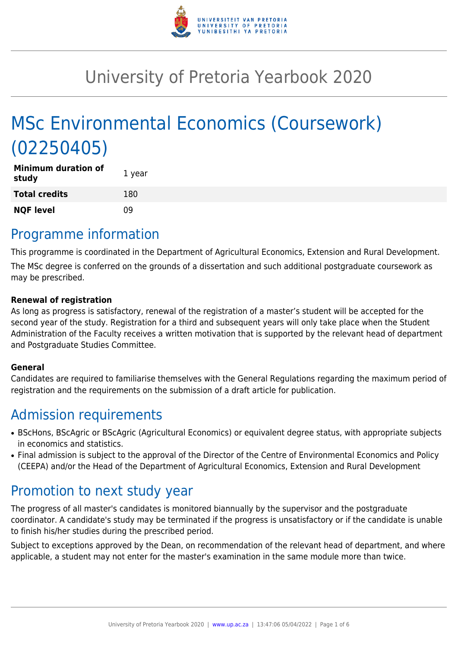

# University of Pretoria Yearbook 2020

# MSc Environmental Economics (Coursework) (02250405)

| <b>Minimum duration of</b><br>study | 1 year |
|-------------------------------------|--------|
| <b>Total credits</b>                | 180    |
| <b>NQF level</b>                    | n۹     |

## Programme information

This programme is coordinated in the Department of Agricultural Economics, Extension and Rural Development.

The MSc degree is conferred on the grounds of a dissertation and such additional postgraduate coursework as may be prescribed.

#### **Renewal of registration**

As long as progress is satisfactory, renewal of the registration of a master's student will be accepted for the second year of the study. Registration for a third and subsequent years will only take place when the Student Administration of the Faculty receives a written motivation that is supported by the relevant head of department and Postgraduate Studies Committee.

#### **General**

Candidates are required to familiarise themselves with the General Regulations regarding the maximum period of registration and the requirements on the submission of a draft article for publication.

# Admission requirements

- BScHons, BScAgric or BScAgric (Agricultural Economics) or equivalent degree status, with appropriate subjects in economics and statistics.
- Final admission is subject to the approval of the Director of the Centre of Environmental Economics and Policy (CEEPA) and/or the Head of the Department of Agricultural Economics, Extension and Rural Development

# Promotion to next study year

The progress of all master's candidates is monitored biannually by the supervisor and the postgraduate coordinator. A candidate's study may be terminated if the progress is unsatisfactory or if the candidate is unable to finish his/her studies during the prescribed period.

Subject to exceptions approved by the Dean, on recommendation of the relevant head of department, and where applicable, a student may not enter for the master's examination in the same module more than twice.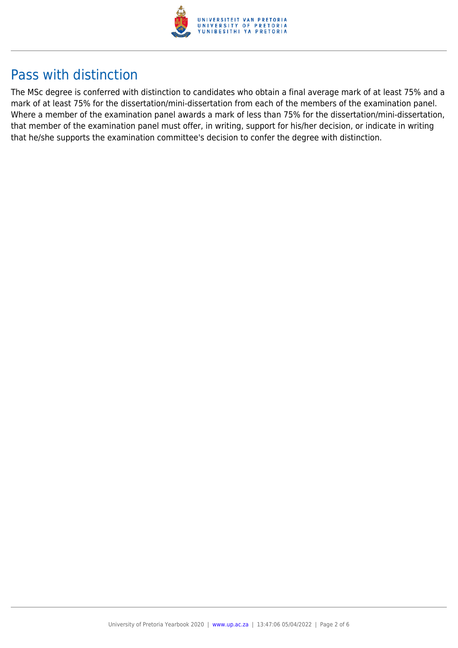

# Pass with distinction

The MSc degree is conferred with distinction to candidates who obtain a final average mark of at least 75% and a mark of at least 75% for the dissertation/mini-dissertation from each of the members of the examination panel. Where a member of the examination panel awards a mark of less than 75% for the dissertation/mini-dissertation, that member of the examination panel must offer, in writing, support for his/her decision, or indicate in writing that he/she supports the examination committee's decision to confer the degree with distinction.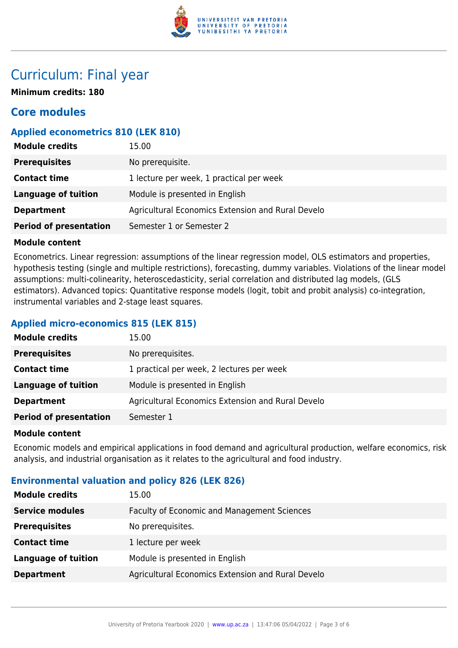

# Curriculum: Final year

**Minimum credits: 180**

## **Core modules**

### **Applied econometrics 810 (LEK 810)**

| <b>Module credits</b>         | 15.00                                             |
|-------------------------------|---------------------------------------------------|
| <b>Prerequisites</b>          | No prerequisite.                                  |
| <b>Contact time</b>           | 1 lecture per week, 1 practical per week          |
| <b>Language of tuition</b>    | Module is presented in English                    |
| <b>Department</b>             | Agricultural Economics Extension and Rural Develo |
| <b>Period of presentation</b> | Semester 1 or Semester 2                          |

#### **Module content**

Econometrics. Linear regression: assumptions of the linear regression model, OLS estimators and properties, hypothesis testing (single and multiple restrictions), forecasting, dummy variables. Violations of the linear model assumptions: multi-colinearity, heteroscedasticity, serial correlation and distributed lag models, (GLS estimators). Advanced topics: Quantitative response models (logit, tobit and probit analysis) co-integration, instrumental variables and 2-stage least squares.

#### **Applied micro-economics 815 (LEK 815)**

| <b>Module credits</b>         | 15.00                                             |
|-------------------------------|---------------------------------------------------|
| <b>Prerequisites</b>          | No prerequisites.                                 |
| <b>Contact time</b>           | 1 practical per week, 2 lectures per week         |
| Language of tuition           | Module is presented in English                    |
| <b>Department</b>             | Agricultural Economics Extension and Rural Develo |
| <b>Period of presentation</b> | Semester 1                                        |

#### **Module content**

Economic models and empirical applications in food demand and agricultural production, welfare economics, risk analysis, and industrial organisation as it relates to the agricultural and food industry.

#### **Environmental valuation and policy 826 (LEK 826)**

| <b>Module credits</b>      | 15.00                                             |
|----------------------------|---------------------------------------------------|
| <b>Service modules</b>     | Faculty of Economic and Management Sciences       |
| <b>Prerequisites</b>       | No prerequisites.                                 |
| <b>Contact time</b>        | 1 lecture per week                                |
| <b>Language of tuition</b> | Module is presented in English                    |
| <b>Department</b>          | Agricultural Economics Extension and Rural Develo |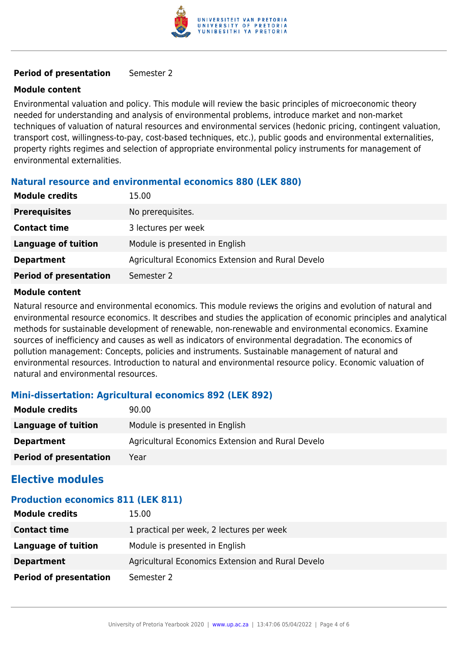

#### **Period of presentation** Semester 2

#### **Module content**

Environmental valuation and policy. This module will review the basic principles of microeconomic theory needed for understanding and analysis of environmental problems, introduce market and non-market techniques of valuation of natural resources and environmental services (hedonic pricing, contingent valuation, transport cost, willingness-to-pay, cost-based techniques, etc.), public goods and environmental externalities, property rights regimes and selection of appropriate environmental policy instruments for management of environmental externalities.

#### **Natural resource and environmental economics 880 (LEK 880)**

| <b>Module credits</b>         | 15.00                                             |
|-------------------------------|---------------------------------------------------|
| <b>Prerequisites</b>          | No prerequisites.                                 |
| <b>Contact time</b>           | 3 lectures per week                               |
| <b>Language of tuition</b>    | Module is presented in English                    |
| <b>Department</b>             | Agricultural Economics Extension and Rural Develo |
| <b>Period of presentation</b> | Semester 2                                        |

#### **Module content**

Natural resource and environmental economics. This module reviews the origins and evolution of natural and environmental resource economics. It describes and studies the application of economic principles and analytical methods for sustainable development of renewable, non-renewable and environmental economics. Examine sources of inefficiency and causes as well as indicators of environmental degradation. The economics of pollution management: Concepts, policies and instruments. Sustainable management of natural and environmental resources. Introduction to natural and environmental resource policy. Economic valuation of natural and environmental resources.

#### **Mini-dissertation: Agricultural economics 892 (LEK 892)**

| <b>Module credits</b>         | 90.00                                             |
|-------------------------------|---------------------------------------------------|
| Language of tuition           | Module is presented in English                    |
| <b>Department</b>             | Agricultural Economics Extension and Rural Develo |
| <b>Period of presentation</b> | Year                                              |

### **Elective modules**

### **Production economics 811 (LEK 811)**

| <b>Module credits</b>         | 15.00                                             |
|-------------------------------|---------------------------------------------------|
| <b>Contact time</b>           | 1 practical per week, 2 lectures per week         |
| <b>Language of tuition</b>    | Module is presented in English                    |
| <b>Department</b>             | Agricultural Economics Extension and Rural Develo |
| <b>Period of presentation</b> | Semester 2                                        |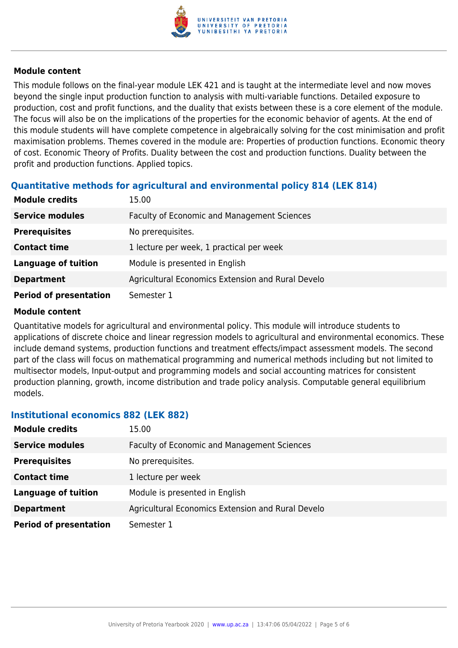

#### **Module content**

This module follows on the final-year module LEK 421 and is taught at the intermediate level and now moves beyond the single input production function to analysis with multi-variable functions. Detailed exposure to production, cost and profit functions, and the duality that exists between these is a core element of the module. The focus will also be on the implications of the properties for the economic behavior of agents. At the end of this module students will have complete competence in algebraically solving for the cost minimisation and profit maximisation problems. Themes covered in the module are: Properties of production functions. Economic theory of cost. Economic Theory of Profits. Duality between the cost and production functions. Duality between the profit and production functions. Applied topics.

### **Quantitative methods for agricultural and environmental policy 814 (LEK 814)**

| <b>Module credits</b>         | 15.00                                             |
|-------------------------------|---------------------------------------------------|
| <b>Service modules</b>        | Faculty of Economic and Management Sciences       |
| <b>Prerequisites</b>          | No prerequisites.                                 |
| <b>Contact time</b>           | 1 lecture per week, 1 practical per week          |
| <b>Language of tuition</b>    | Module is presented in English                    |
| <b>Department</b>             | Agricultural Economics Extension and Rural Develo |
| <b>Period of presentation</b> | Semester 1                                        |

#### **Module content**

Quantitative models for agricultural and environmental policy. This module will introduce students to applications of discrete choice and linear regression models to agricultural and environmental economics. These include demand systems, production functions and treatment effects/impact assessment models. The second part of the class will focus on mathematical programming and numerical methods including but not limited to multisector models, Input-output and programming models and social accounting matrices for consistent production planning, growth, income distribution and trade policy analysis. Computable general equilibrium models.

#### **Institutional economics 882 (LEK 882)**

| <b>Module credits</b>         | 15.00                                             |
|-------------------------------|---------------------------------------------------|
| <b>Service modules</b>        | Faculty of Economic and Management Sciences       |
| <b>Prerequisites</b>          | No prerequisites.                                 |
| <b>Contact time</b>           | 1 lecture per week                                |
| <b>Language of tuition</b>    | Module is presented in English                    |
| <b>Department</b>             | Agricultural Economics Extension and Rural Develo |
| <b>Period of presentation</b> | Semester 1                                        |